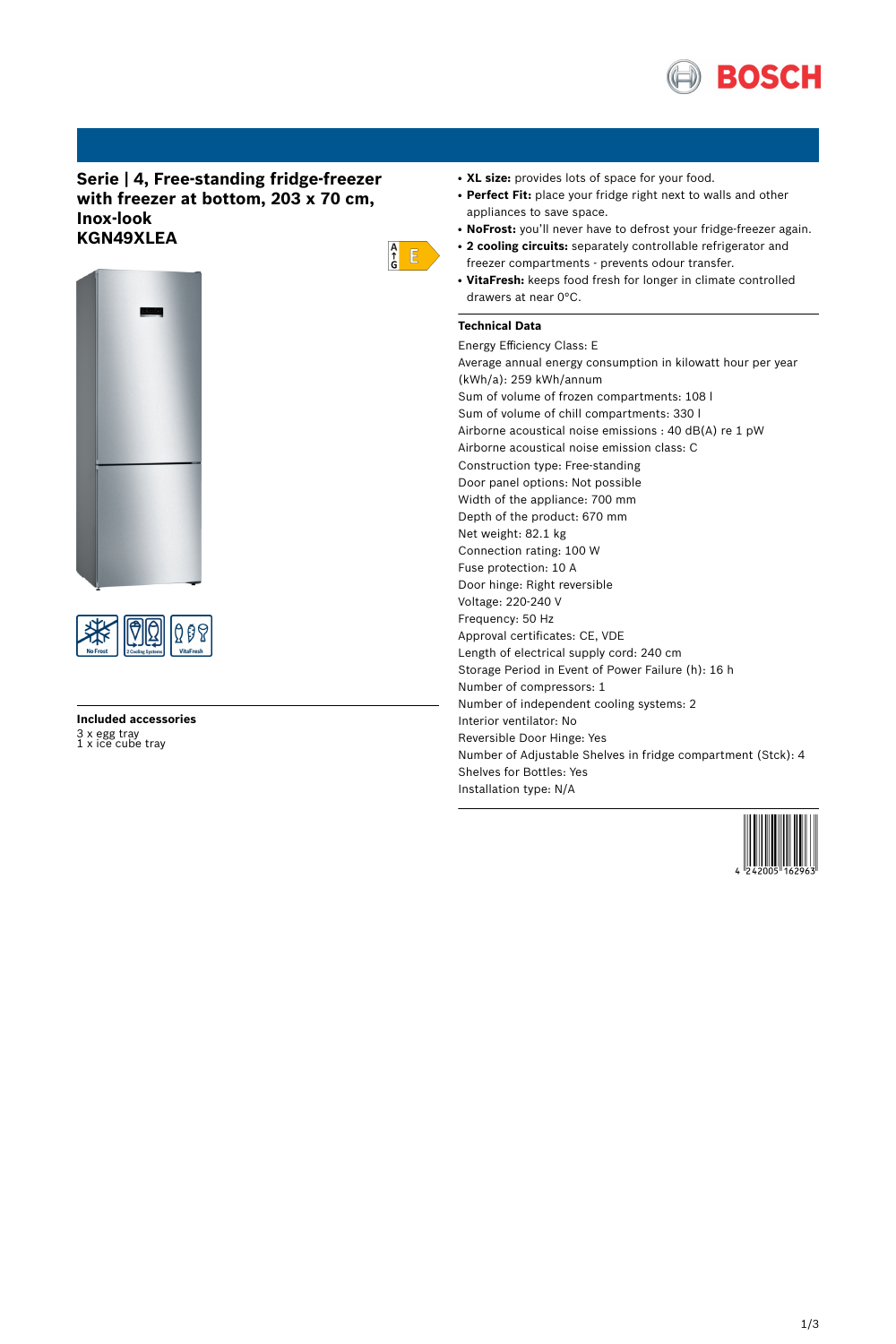

# **Serie | 4, Free-standing fridge-freezer with freezer at bottom, 203 x 70 cm, Inox-look KGN49XLEA**





# **Included accessories** 3 x egg tray 1 x ice cube tray

- XL size: provides lots of space for your food.
- **Perfect Fit:** place your fridge right next to walls and other appliances to save space.
- NoFrost: you'll never have to defrost your fridge-freezer again.
- **2 cooling circuits:** separately controllable refrigerator and freezer compartments - prevents odour transfer.
- **VitaFresh:** keeps food fresh for longer in climate controlled drawers at near 0°C.

## **Technical Data**

 $\begin{array}{c} A \\ \uparrow \\ G \end{array}$   $E$ 

Energy Efficiency Class: E Average annual energy consumption in kilowatt hour per year (kWh/a): 259 kWh/annum Sum of volume of frozen compartments: 108 l Sum of volume of chill compartments: 330 l Airborne acoustical noise emissions : 40 dB(A) re 1 pW Airborne acoustical noise emission class: C Construction type: Free-standing Door panel options: Not possible Width of the appliance: 700 mm Depth of the product: 670 mm Net weight: 82.1 kg Connection rating: 100 W Fuse protection: 10 A Door hinge: Right reversible Voltage: 220-240 V Frequency: 50 Hz Approval certificates: CE, VDE Length of electrical supply cord: 240 cm Storage Period in Event of Power Failure (h): 16 h Number of compressors: 1 Number of independent cooling systems: 2 Interior ventilator: No Reversible Door Hinge: Yes Number of Adjustable Shelves in fridge compartment (Stck): 4 Shelves for Bottles: Yes Installation type: N/A

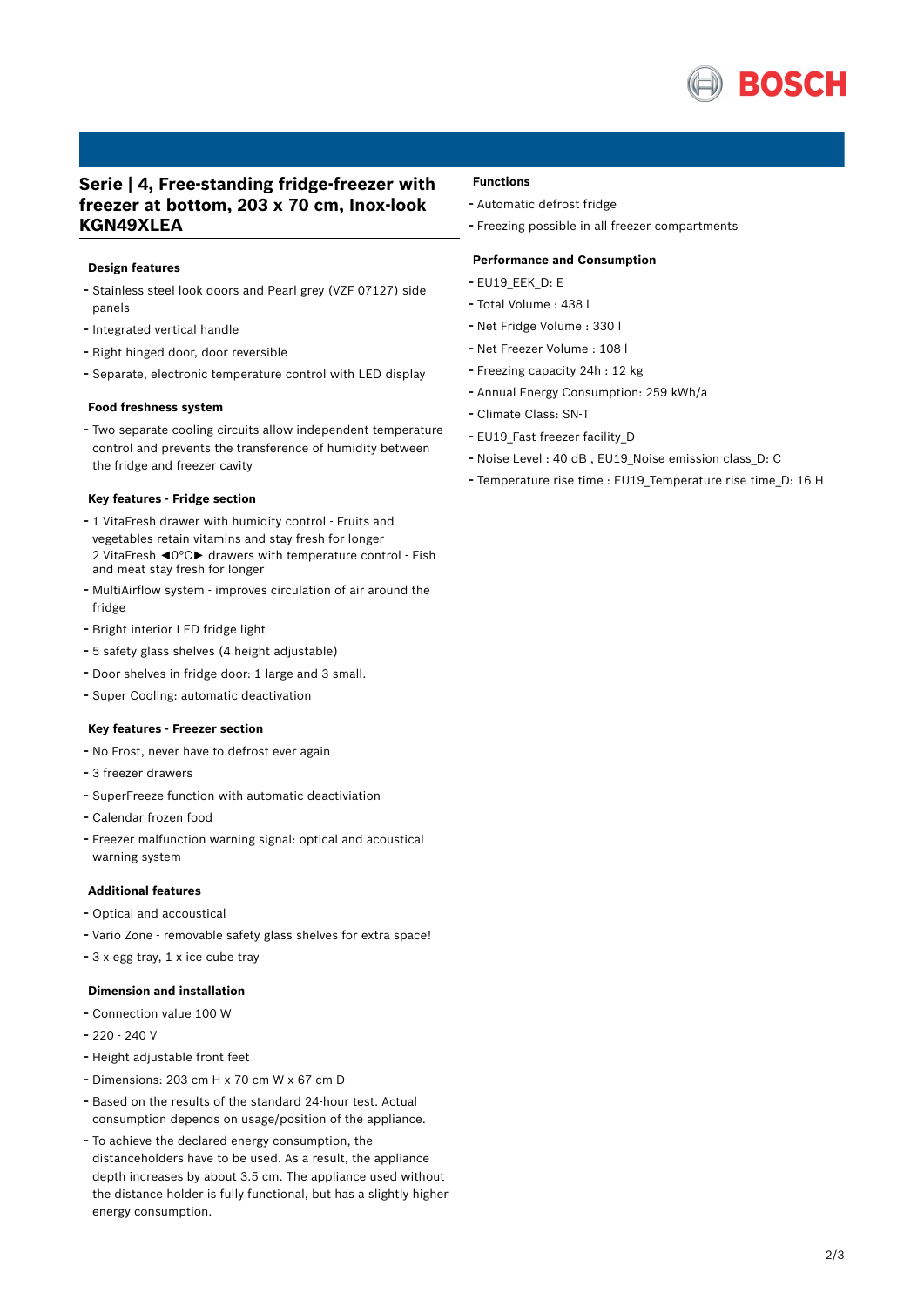

# **Serie | 4, Free-standing fridge-freezer with freezer at bottom, 203 x 70 cm, Inox-look KGN49XLEA**

### **Design features**

- Stainless steel look doors and Pearl grey (VZF 07127) side panels
- Integrated vertical handle
- Right hinged door, door reversible
- Separate, electronic temperature control with LED display

#### **Food freshness system**

- Two separate cooling circuits allow independent temperature control and prevents the transference of humidity between the fridge and freezer cavity

#### **Key features - Fridge section**

- <sup>1</sup> VitaFresh drawer with humidity control Fruits and vegetables retain vitamins and stay fresh for longer 2 VitaFresh ◄0°C► drawers with temperature control - Fish and meat stay fresh for longer
- MultiAirflow system improves circulation of air around the fridge
- Bright interior LED fridge light
- <sup>5</sup> safety glass shelves (4 height adjustable)
- Door shelves in fridge door: <sup>1</sup> large and <sup>3</sup> small.
- Super Cooling: automatic deactivation

#### **Key features - Freezer section**

- No Frost, never have to defrost ever again
- <sup>3</sup> freezer drawers
- SuperFreeze function with automatic deactiviation
- Calendar frozen food
- Freezer malfunction warning signal: optical and acoustical warning system

#### **Additional features**

- Optical and accoustical
- Vario Zone removable safety glass shelves for extra space!
- <sup>3</sup> <sup>x</sup> egg tray, <sup>1</sup> <sup>x</sup> ice cube tray

### **Dimension and installation**

- Connection value <sup>100</sup> <sup>W</sup>
- 220 240 V
- Height adjustable front feet
- Dimensions: 203 cm H x 70 cm W x 67 cm D
- Based on the results of the standard 24-hour test. Actual consumption depends on usage/position of the appliance.
- To achieve the declared energy consumption, the distanceholders have to be used. As a result, the appliance depth increases by about 3.5 cm. The appliance used without the distance holder is fully functional, but has a slightly higher energy consumption.

### **Functions**

- Automatic defrost fridge
- Freezing possible in all freezer compartments

#### **Performance and Consumption**

- EU19\_EEK\_D: E
- Total Volume : <sup>438</sup> <sup>l</sup>
- Net Fridge Volume : <sup>330</sup> <sup>l</sup>
- Net Freezer Volume : <sup>108</sup> <sup>l</sup>
- Freezing capacity 24h : <sup>12</sup> kg
- Annual Energy Consumption: <sup>259</sup> kWh/a
- Climate Class: SN-T
- EU19 Fast freezer facility D
- Noise Level : <sup>40</sup> dB , EU19\_Noise emission class\_D: <sup>C</sup>
- Temperature rise time : EU19\_Temperature rise time\_D: <sup>16</sup> <sup>H</sup>